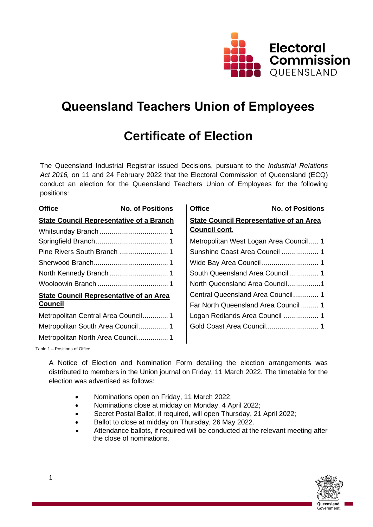

# **Queensland Teachers Union of Employees**

# **Certificate of Election**

The Queensland Industrial Registrar issued Decisions, pursuant to the *Industrial Relations Act 2016,* on 11 and 24 February 2022 that the Electoral Commission of Queensland (ECQ) conduct an election for the Queensland Teachers Union of Employees for the following positions:

| <b>Office</b>                                   | <b>No. of Positions</b> | <b>Office</b>                                  | <b>No. of Positions</b>                |
|-------------------------------------------------|-------------------------|------------------------------------------------|----------------------------------------|
| <b>State Council Representative of a Branch</b> |                         | <b>State Council Representative of an Area</b> |                                        |
|                                                 |                         | <b>Council cont.</b>                           |                                        |
|                                                 |                         |                                                | Metropolitan West Logan Area Council 1 |
|                                                 |                         |                                                |                                        |
|                                                 |                         |                                                |                                        |
|                                                 |                         |                                                |                                        |
|                                                 |                         |                                                | North Queensland Area Council1         |
| <b>State Council Representative of an Area</b>  |                         |                                                | Central Queensland Area Council 1      |
| <b>Council</b>                                  |                         |                                                | Far North Queensland Area Council  1   |
| Metropolitan Central Area Council1              |                         |                                                | Logan Redlands Area Council  1         |
| Metropolitan South Area Council 1               |                         |                                                |                                        |
| Metropolitan North Area Council 1               |                         |                                                |                                        |

Table 1 – Positions of Office

A Notice of Election and Nomination Form detailing the election arrangements was distributed to members in the Union journal on Friday, 11 March 2022. The timetable for the election was advertised as follows:

- Nominations open on Friday, 11 March 2022;
- Nominations close at midday on Monday, 4 April 2022;
- Secret Postal Ballot, if required, will open Thursday, 21 April 2022;
- Ballot to close at midday on Thursday, 26 May 2022.
- Attendance ballots, if required will be conducted at the relevant meeting after the close of nominations.

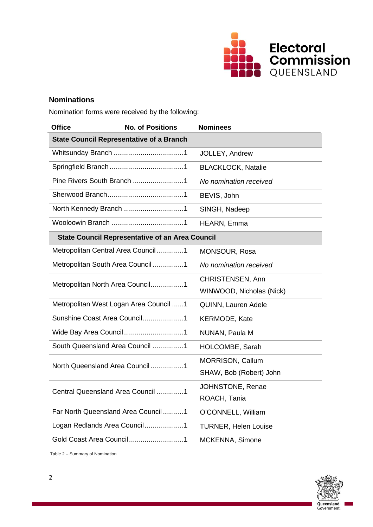

# **Nominations**

Nomination forms were received by the following:

| <b>Office</b>                                          | <b>No. of Positions</b>                         | <b>Nominees</b>             |  |
|--------------------------------------------------------|-------------------------------------------------|-----------------------------|--|
|                                                        | <b>State Council Representative of a Branch</b> |                             |  |
|                                                        |                                                 | JOLLEY, Andrew              |  |
|                                                        |                                                 | <b>BLACKLOCK, Natalie</b>   |  |
|                                                        |                                                 | No nomination received      |  |
|                                                        |                                                 | BEVIS, John                 |  |
|                                                        |                                                 | SINGH, Nadeep               |  |
|                                                        |                                                 | HEARN, Emma                 |  |
| <b>State Council Representative of an Area Council</b> |                                                 |                             |  |
|                                                        | Metropolitan Central Area Council1              | MONSOUR, Rosa               |  |
|                                                        | Metropolitan South Area Council1                | No nomination received      |  |
| Metropolitan North Area Council1                       |                                                 | CHRISTENSEN, Ann            |  |
|                                                        |                                                 | WINWOOD, Nicholas (Nick)    |  |
| Metropolitan West Logan Area Council 1                 |                                                 | <b>QUINN, Lauren Adele</b>  |  |
| Sunshine Coast Area Council1                           |                                                 | <b>KERMODE, Kate</b>        |  |
|                                                        |                                                 | NUNAN, Paula M              |  |
|                                                        | South Queensland Area Council 1                 | HOLCOMBE, Sarah             |  |
| North Queensland Area Council 1                        |                                                 | MORRISON, Callum            |  |
|                                                        |                                                 | SHAW, Bob (Robert) John     |  |
| Central Queensland Area Council 1                      |                                                 | JOHNSTONE, Renae            |  |
|                                                        |                                                 | ROACH, Tania                |  |
|                                                        | Far North Queensland Area Council1              | O'CONNELL, William          |  |
| Logan Redlands Area Council1                           |                                                 | <b>TURNER, Helen Louise</b> |  |
|                                                        | Gold Coast Area Council1                        | MCKENNA, Simone             |  |

Table 2 – Summary of Nomination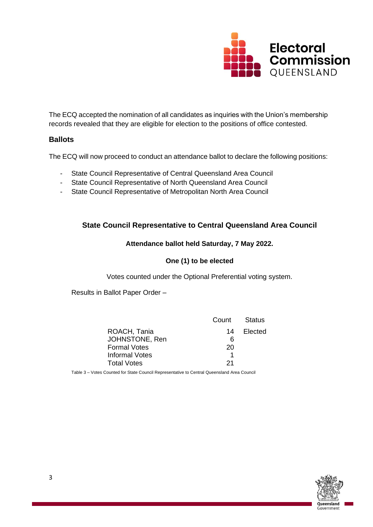

The ECQ accepted the nomination of all candidates as inquiries with the Union's membership records revealed that they are eligible for election to the positions of office contested.

# **Ballots**

The ECQ will now proceed to conduct an attendance ballot to declare the following positions:

- State Council Representative of Central Queensland Area Council
- State Council Representative of North Queensland Area Council
- State Council Representative of Metropolitan North Area Council

# **State Council Representative to Central Queensland Area Council**

#### **Attendance ballot held Saturday, 7 May 2022.**

# **One (1) to be elected**

Votes counted under the Optional Preferential voting system.

Results in Ballot Paper Order –

|                     | Count | Status     |
|---------------------|-------|------------|
| ROACH, Tania        |       | 14 Elected |
| JOHNSTONE, Ren      | ิค    |            |
| <b>Formal Votes</b> | 20    |            |
| Informal Votes      |       |            |
| <b>Total Votes</b>  | 21    |            |

Table 3 – Votes Counted for State Council Representative to Central Queensland Area Council

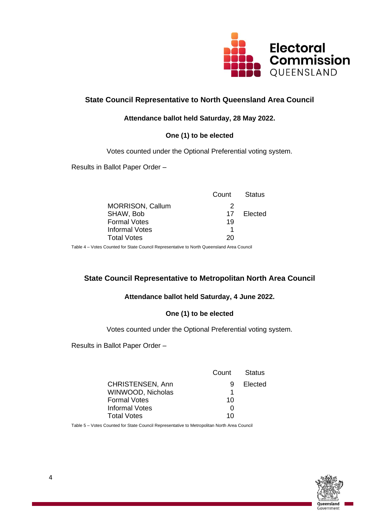

# **State Council Representative to North Queensland Area Council**

#### **Attendance ballot held Saturday, 28 May 2022.**

# **One (1) to be elected**

Votes counted under the Optional Preferential voting system.

Results in Ballot Paper Order –

|                         | Count | Status     |
|-------------------------|-------|------------|
| <b>MORRISON, Callum</b> | 2     |            |
| SHAW, Bob               |       | 17 Elected |
| <b>Formal Votes</b>     | 19    |            |
| Informal Votes          |       |            |
| <b>Total Votes</b>      | 20    |            |
|                         |       |            |

Table 4 – Votes Counted for State Council Representative to North Queensland Area Council

# **State Council Representative to Metropolitan North Area Council**

#### **Attendance ballot held Saturday, 4 June 2022.**

# **One (1) to be elected**

Votes counted under the Optional Preferential voting system.

Results in Ballot Paper Order –

|                         | Count             | Status  |
|-------------------------|-------------------|---------|
| <b>CHRISTENSEN, Ann</b> | 9                 | Elected |
| WINWOOD, Nicholas       |                   |         |
| <b>Formal Votes</b>     | 10                |         |
| Informal Votes          | $\mathbf{\Omega}$ |         |
| <b>Total Votes</b>      | 10                |         |
|                         |                   |         |

Table 5 – Votes Counted for State Council Representative to Metropolitan North Area Council

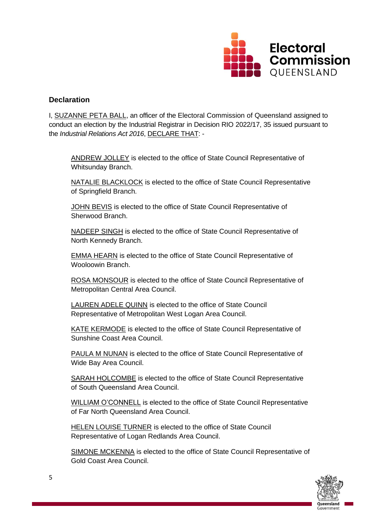

### **Declaration**

I, SUZANNE PETA BALL, an officer of the Electoral Commission of Queensland assigned to conduct an election by the Industrial Registrar in Decision RIO 2022/17, 35 issued pursuant to the *Industrial Relations Act 2016*, DECLARE THAT: -

ANDREW JOLLEY is elected to the office of State Council Representative of Whitsunday Branch.

NATALIE BLACKLOCK is elected to the office of State Council Representative of Springfield Branch.

JOHN BEVIS is elected to the office of State Council Representative of Sherwood Branch.

NADEEP SINGH is elected to the office of State Council Representative of North Kennedy Branch.

EMMA HEARN is elected to the office of State Council Representative of Wooloowin Branch.

ROSA MONSOUR is elected to the office of State Council Representative of Metropolitan Central Area Council.

LAUREN ADELE QUINN is elected to the office of State Council Representative of Metropolitan West Logan Area Council.

KATE KERMODE is elected to the office of State Council Representative of Sunshine Coast Area Council.

PAULA M NUNAN is elected to the office of State Council Representative of Wide Bay Area Council.

SARAH HOLCOMBE is elected to the office of State Council Representative of South Queensland Area Council.

WILLIAM O'CONNELL is elected to the office of State Council Representative of Far North Queensland Area Council.

HELEN LOUISE TURNER is elected to the office of State Council Representative of Logan Redlands Area Council.

SIMONE MCKENNA is elected to the office of State Council Representative of Gold Coast Area Council.